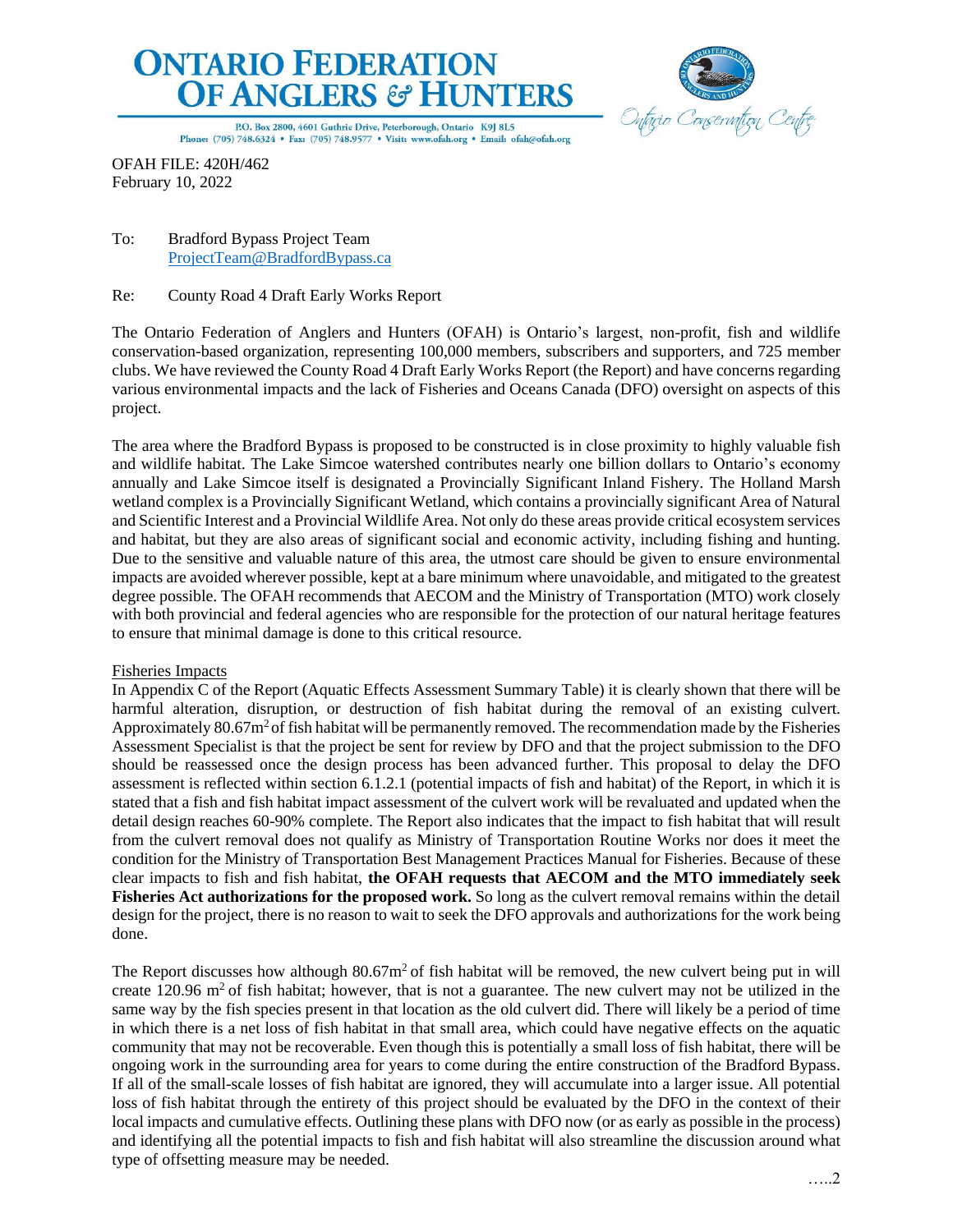



P.O. Box 2800, 4601 Guthrie Drive, Peterborough, Ontario K9J 8L5 Phone: (705) 748.6324 · Fax: (705) 748.9577 · Visit: www.ofah.org · Email: ofah@ofah.org

OFAH FILE: 420H/462 February 10, 2022

# To: Bradford Bypass Project Team [ProjectTeam@BradfordBypass.ca](mailto:ProjectTeam@BradfordBypass.ca)

# Re: County Road 4 Draft Early Works Report

The Ontario Federation of Anglers and Hunters (OFAH) is Ontario's largest, non-profit, fish and wildlife conservation-based organization, representing 100,000 members, subscribers and supporters, and 725 member clubs. We have reviewed the County Road 4 Draft Early Works Report (the Report) and have concerns regarding various environmental impacts and the lack of Fisheries and Oceans Canada (DFO) oversight on aspects of this project.

The area where the Bradford Bypass is proposed to be constructed is in close proximity to highly valuable fish and wildlife habitat. The Lake Simcoe watershed contributes nearly one billion dollars to Ontario's economy annually and Lake Simcoe itself is designated a Provincially Significant Inland Fishery. The Holland Marsh wetland complex is a Provincially Significant Wetland, which contains a provincially significant Area of Natural and Scientific Interest and a Provincial Wildlife Area. Not only do these areas provide critical ecosystem services and habitat, but they are also areas of significant social and economic activity, including fishing and hunting. Due to the sensitive and valuable nature of this area, the utmost care should be given to ensure environmental impacts are avoided wherever possible, kept at a bare minimum where unavoidable, and mitigated to the greatest degree possible. The OFAH recommends that AECOM and the Ministry of Transportation (MTO) work closely with both provincial and federal agencies who are responsible for the protection of our natural heritage features to ensure that minimal damage is done to this critical resource.

## Fisheries Impacts

In Appendix C of the Report (Aquatic Effects Assessment Summary Table) it is clearly shown that there will be harmful alteration, disruption, or destruction of fish habitat during the removal of an existing culvert. Approximately 80.67m<sup>2</sup> of fish habitat will be permanently removed. The recommendation made by the Fisheries Assessment Specialist is that the project be sent for review by DFO and that the project submission to the DFO should be reassessed once the design process has been advanced further. This proposal to delay the DFO assessment is reflected within section 6.1.2.1 (potential impacts of fish and habitat) of the Report, in which it is stated that a fish and fish habitat impact assessment of the culvert work will be revaluated and updated when the detail design reaches 60-90% complete. The Report also indicates that the impact to fish habitat that will result from the culvert removal does not qualify as Ministry of Transportation Routine Works nor does it meet the condition for the Ministry of Transportation Best Management Practices Manual for Fisheries. Because of these clear impacts to fish and fish habitat, **the OFAH requests that AECOM and the MTO immediately seek Fisheries Act authorizations for the proposed work.** So long as the culvert removal remains within the detail design for the project, there is no reason to wait to seek the DFO approvals and authorizations for the work being done.

The Report discusses how although  $80.67m<sup>2</sup>$  of fish habitat will be removed, the new culvert being put in will create 120.96  $\text{m}^2$  of fish habitat; however, that is not a guarantee. The new culvert may not be utilized in the same way by the fish species present in that location as the old culvert did. There will likely be a period of time in which there is a net loss of fish habitat in that small area, which could have negative effects on the aquatic community that may not be recoverable. Even though this is potentially a small loss of fish habitat, there will be ongoing work in the surrounding area for years to come during the entire construction of the Bradford Bypass. If all of the small-scale losses of fish habitat are ignored, they will accumulate into a larger issue. All potential loss of fish habitat through the entirety of this project should be evaluated by the DFO in the context of their local impacts and cumulative effects. Outlining these plans with DFO now (or as early as possible in the process) and identifying all the potential impacts to fish and fish habitat will also streamline the discussion around what type of offsetting measure may be needed.